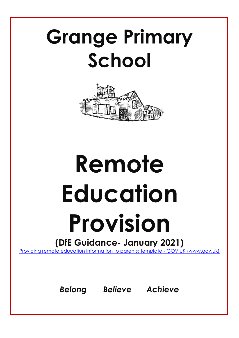## **Grange Primary School**



# **Remote Education Provision**

### **(DfE Guidance- January 2021)**

[Providing remote education information to parents: template -](https://www.gov.uk/government/publications/providing-remote-education-information-to-parents-template) GOV.UK (www.gov.uk)

*Belong Believe Achieve*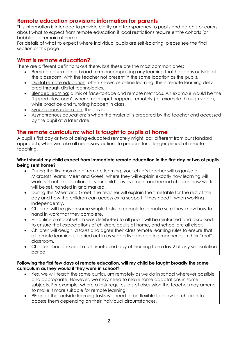#### **Remote education provision: information for parents**

This information is intended to provide clarity and transparency to pupils and parents or carers about what to expect from remote education if local restrictions require entire cohorts (or bubbles) to remain at home.

For details of what to expect where individual pupils are self-isolating, please see the final section of this page.

#### **What is remote education?**

There are different definitions out there, but these are the most common ones:

- Remote education: a broad term encompassing any learning that happens outside of the classroom, with the teacher not present in the same location as the pupils.
- Digital remote education: often known as online learning, this is remote learning delivered through digital technologies.
- Blended learning: a mix of face-to-face and remote methods. An example would be the 'flipped classroom', where main input happens remotely (for example through video), while practice and tutoring happen in class.
- Synchronous education: this is live;
- Asynchronous education: is when the material is prepared by the teacher and accessed by the pupil at a later date.

#### **The remote curriculum: what is taught to pupils at home**

A pupil's first day or two of being educated remotely might look different from our standard approach, while we take all necessary actions to prepare for a longer period of remote teaching.

#### **What should my child expect from immediate remote education in the first day or two of pupils being sent home?**

- During the first morning of remote learning, your child's teacher will organise a Microsoft Teams 'Meet and Greet' where they will explain exactly how learning will work, set out expectations of your child's involvement and remind children how work will be set, handed in and marked.
- During the 'Meet and Greet' the teacher will explain the timetable for the rest of the day and how the children can access extra support if they need it when working independently.
- Children will be given some simple tasks to complete to make sure they know how to hand in work that they complete.
- An online protocol which was distributed to all pupils will be reinforced and discussed to ensure that expectations of children, adults at home, and school are all clear.
- Children will design, discuss and agree their class remote learning rules to ensure that all remote learning is carried out in as supportive and caring manner as in their "real" classroom.
- Children should expect a full timetabled day of learning from day 2 of any self-isolation period.

#### **Following the first few days of remote education, will my child be taught broadly the same curriculum as they would if they were in school?**

- Yes, we will teach the same curriculum remotely as we do in school wherever possible and appropriate. However, we may need to make some adaptations in some subjects. For example, where a task requires lots of discussion the teacher may amend to make it more suitable for remote learning.
- PE and other outside learning tasks will need to be flexible to allow for children to access them depending on their individual circumstances.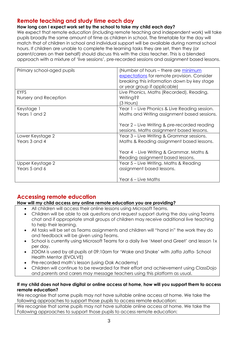#### **Remote teaching and study time each day**

#### **How long can I expect work set by the school to take my child each day?**

We expect that remote education (including remote teaching and independent work) will take pupils broadly the same amount of time as children in school. The timetable for the day will match that of children in school and individual support will be available during normal school hours. If children are unable to complete the learning tasks they are set, then they (or parent/carers on their behalf) should discuss this with the class teacher. This is a blended approach with a mixture of 'live sessions', pre-recorded sessions and assignment based lessons.

| Primary school-aged pupils        | (Number of hours – there are minimum<br>expectations for remote provision. Consider<br>breaking this information down by key stage<br>or year group if applicable) |
|-----------------------------------|--------------------------------------------------------------------------------------------------------------------------------------------------------------------|
| <b>EYFS</b>                       | Live Phonics, Maths (Recorded), Reading,                                                                                                                           |
| Nursery and Reception             | Writing??<br>(3 Hours)                                                                                                                                             |
| Keystage 1<br>Years 1 and 2       | Year 1 – Live Phonics & Live Reading session.<br>Maths and Writing assignment based sessions.                                                                      |
|                                   | Year 2 – Live Writing & pre-recorded reading<br>sessions. Maths assignment based lessons.                                                                          |
| Lower Keystage 2<br>Years 3 and 4 | Year 3 – Live Writing & Grammar sessions.<br>Maths & Reading assignment based lessons.                                                                             |
|                                   | Year 4 - Live Writing & Grammar. Maths &<br>Reading assignment based lessons.                                                                                      |
| Upper Keystage 2                  | Year 5 – Live Writing. Maths & Reading                                                                                                                             |
| Years 5 and 6                     | assignment based lessons.                                                                                                                                          |
|                                   | Year 6 – Live Maths                                                                                                                                                |

#### **Accessing remote education**

#### **How will my child access any online remote education you are providing?**

- All children will access their online lessons using Microsoft Teams.
- Children will be able to ask questions and request support during the day using Teams chat and if appropriate small groups of children may receive additional live teaching to help their learning.
- All tasks will be set as Teams assignments and children will "hand in" the work they do and feedback will be given using Teams.
- School is currently using Microsoft Teams for a daily live 'Meet and Greet' and lesson 1x per day.
- ZOOM is used by all pupils at 09:10am for 'Wake and Shake' with Jaffa Jaffa- School Health Mentor (EVOLVE)
- Pre-recorded math's lesson (using Oak Academy)
- Children will continue to be rewarded for their effort and achievement using ClassDojo and parents and carers may message teachers using this platform as usual.

#### **If my child does not have digital or online access at home, how will you support them to access remote education?**

We recognise that some pupils may not have suitable online access at home. We take the following approaches to support those pupils to access remote education:

We recognise that some pupils may not have suitable online access at home. We take the Following approaches to support those pupils to access remote education: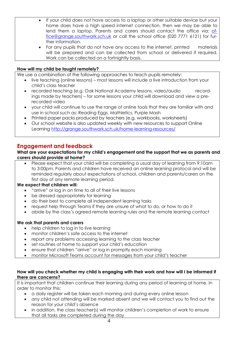- If your child does not have access to a laptop or other suitable device but your home does have a high speed internet connection, then we may be able to lend them a laptop. Parents and carers should contact the office via: [of](mailto:office@grange.southwark.sch.uk)[fice@grange.southwark.sch.uk](mailto:office@grange.southwark.sch.uk) or call the school office (020 7771 6121) for further information.
- For any pupils that do not have any access to the internet, printed materials will be prepared and can be collected from school or delivered if required. Work can be collected on a fortnightly basis.

#### **How will my child be taught remotely?**

We use a combination of the following approaches to teach pupils remotely:

- live teaching (online lessons) most lessons will include a live introduction from your child's class teacher
- recorded teaching (e.g. Oak National Academy lessons, video/audio recordings made by teachers) – for some lessons your child will download and view a prerecorded video
- your child will continue to use the range of online tools that they are familiar with and use in school such as: Reading Eggs, Mathletics, Purple Mash
- Printed paper packs produced by teachers (e.g. workbooks, worksheets)
- Our school website is also updated weekly with new resources to support Online Learning<http://grange.southwark.sch.uk/home-learning-resources/>

#### **Engagement and feedback**

#### **What are your expectations for my child's engagement and the support that we as parents and carers should provide at home?**

 Please expect that your child will be completing a usual day of learning from 9:10am to 3:00pm. Parents and children have received an online learning protocol and will be reminded regularly about expectations of school, children and parents/carers on the first day of any remote learning period.

#### **We expect that children will:**

- "arrive" or log in on time to all of their live lessons
- be dressed appropriately for learning
- do their best to complete all independent learning tasks
- request help through Teams if they are unsure of what to do, or how to do it
- abide by the class's agreed remote learning rules and the remote learning contact

#### **We ask that parents and carers**

- help children to log in to live learning
- monitor children's safe access to the internet
- report any problems accessing learning to the class teacher
- set routines at home to support your child's education
- ensure that children "arrive" or log in promptly each morning
- monitor Microsoft Teams account for messages from your child's teacher

#### **How will you check whether my child is engaging with their work and how will I be informed if there are concerns?**

It is important that children continue their learning during any period of learning at home. In order to monitor this:

- a daily register will be taken each morning and during every online lesson
- any child not attending will be marked absent and we will contact you to find out the reason for your child's absence
- in addition, the class teacher(s) will monitor children's completion of work to ensure that all tasks are completed during the day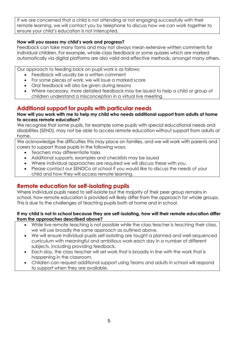If we are concerned that a child is not attending or not engaging successfully with their remote learning, we will contact you by telephone to discuss how we can work together to ensure your child's education is not interrupted.

#### **How will you assess my child's work and progress?**

Feedback can take many forms and may not always mean extensive written comments for individual children. For example, whole-class feedback or some quizzes which are marked automatically via digital platforms are also valid and effective methods, amongst many others.

Our approach to feeding back on pupil work is as follows:

- Feedback will usually be a written comment
- For some pieces of work, we will issue a marked score
- Oral feedback will also be given during lessons
- Where necessary, more detailed feedback may be issued to help a child or group of children understand a misconception in a virtual live meeting

#### **Additional support for pupils with particular needs**

#### **How will you work with me to help my child who needs additional support from adults at home to access remote education?**

We recognise that some pupils, for example some pupils with special educational needs and disabilities (SEND), may not be able to access remote education without support from adults at home.

We acknowledge the difficulties this may place on families, and we will work with parents and carers to support those pupils in the following ways:

- Teachers may differentiate tasks
- Additional supports, examples and checklists may be issued
- Where individual approaches are required we will discuss these with you.
- Please contact our SENDCo at school if you would like to discuss the needs of your child and how they will access remote learning.

#### **Remote education for self-isolating pupils**

Where individual pupils need to self-isolate but the majority of their peer group remains in school, how remote education is provided will likely differ from the approach for whole groups. This is due to the challenges of teaching pupils both at home and in school.

#### **If my child is not in school because they are self-isolating, how will their remote education differ from the approaches described above?**

- While live remote teaching is not possible while the class teacher is teaching their class, we will use broadly the same approach as outlined above.
- We will ensure individual pupils self-isolating are taught a planned and well-sequenced curriculum with meaningful and ambitious work each day in a number of different subjects, including providing feedback.
- Each day, the class teacher will set work that is broadly in line with the work that is happening in the classroom.
- Children can request additional support using Teams and adults in school will respond to support when they are available.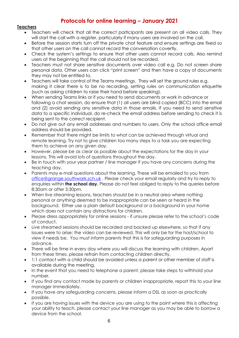#### **Protocols for online learning – January 2021**

#### **Teachers**

- Teachers will check that all the correct participants are present on all video calls. They will start the call with a register, particularly if many users are involved on the call.
- Before the session starts turn off the private chat feature and ensure settings are fixed so that other users on the call cannot record the conversation covertly.
- Check the system's settings to ensure that other users cannot record calls. Also remind users at the beginning that the call should not be recorded.
- Teachers must not share sensitive documents over video call e.g. Do not screen share personal data. Other users can click "print screen" and then have a copy of documents they may not be entitled to.
- Teachers will take control of the Teams meetings. They will set the ground rules e.g. making it clear there is to be no recording, setting rules on communication etiquette (such as asking children to raise their hand before speaking).
- When sending Teams links or if you need to send documents or work in advance or following a chat session, do ensure that (1) all users are blind copied (BCC) into the email and (2) avoid sending any sensitive data in those emails. If you need to send sensitive data to a specific individual, do re-check the email address before sending to check it is being sent to the correct recipient.
- Do not give out any email addresses and numbers to users. Only the school office email address should be provided.
- Remember that there might be limits to what can be achieved through virtual and remote learning. Try not to give children too many steps to a task you are expecting them to achieve on any given day.
- However, please be as clear as possible about the expectations for the day in your lessons. This will avoid lots of questions throughout the day.
- Be in touch with your year partner / line manager if you have any concerns during the teaching day.
- Parents may e-mail questions about the learning. These will be emailed to you from [office@grange.southwark.sch.uk](mailto:office@grange.southwark.sch.uk) . Please check your email regularly and try to reply to enquiries within **the school day.** Please do not feel obliged to reply to the queries before 8:30am or after 3:30pm.
- When live streaming lessons, teachers should be in a neutral area where nothing personal or anything deemed to be inappropriate can be seen or heard in the background. Either use a plain default background or a background in your home which does not contain any distractions for children.
- Please dress appropriately for online sessions if unsure please refer to the school's code of conduct.
- Live streamed sessions should be recorded and backed up elsewhere, so that if any issues were to arise; the video can be reviewed. This will only be for the host/school to view if needs be. You must inform parents that this is for safeguarding purposes in advance.
- There will be time in every day where you will discuss the learning with children. Apart from these times, please refrain from contacting children directly.
- 1:1 contact with a child should be avoided unless a parent or other member of staff is available during the meeting.
- In the event that you need to telephone a parent, please take steps to withhold your number.
- If you find any contact made by parents or children inappropriate, report this to your line manager immediately.
- If you have any safeguarding concerns, please inform a DSL as soon as practically possible.
- If you are having issues with the device you are using to the point where this is affecting your ability to teach, please contact your line manager as you may be able to borrow a device from the school.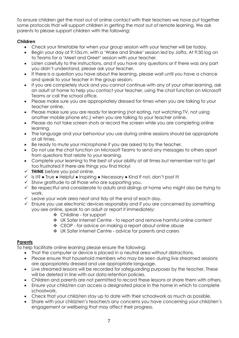To ensure children get the most out of online contact with their teachers we have put together some protocols that will support children in getting the most out of remote learning. We ask parents to please support children with the following:

#### **Children**

- Check your timetable for when your group session with your teacher will be today.
- Begin your day at 9:10a.m. with a 'Wake and Shake' session led by Jaffa. At 9:30 log on to Teams for a 'Meet and Greet' session with your teacher.
- Listen carefully to the instructions, and if you have any questions or if there was any part you didn't understand, please ask your teacher.
- If there is a question you have about the learning, please wait until you have a chance and speak to your teacher in the group session.
- If you are completely stuck and you cannot continue with any of your other learning, ask an adult at home to help you contact your teacher, using the chat function on Microsoft Teams or call the school office.
- Please make sure you are appropriately dressed for times when you are talking to your teacher online.
- Please make sure you are ready for learning (not eating, not watching TV, not using another mobile phone etc.) when you are talking to your teacher online.
- Please do not take screen shots or record the screen while you are completing online learning.
- The language and your behaviour you use during online sessions should be appropriate at all times.
- Be ready to mute your microphone if you are asked to by the teacher.
- Do not use the chat function on Microsoft Teams to send any messages to others apart from questions that relate to your learning.
- Complete your learning to the best of your ability at all times but remember not to get too frustrated if there are things you find tricky!
- **THINK** before you post online.
- $\checkmark$  Is it? True Helpful Inspiring Necessary Kind If not, don't post it!
- $\checkmark$  Show aratitude to all those who are supporting you.
- $\checkmark$  Be respectful and considerate to adults and siblings at home who might also be trying to work.
- $\checkmark$  Leave your work area neat and tidy at the end of each day.
- $\checkmark$  Ensure you use electronic devices responsibly and if you are concerned by something you see online, speak to an adult or report it immediately:
	- Childline for support
	- UK Safer Internet Centre to report and remove harmful online content
	- ❖ CEOP for advice on making a report about online abuse
	- UK Safer Internet Centre advice for parents and carers

#### **Parents**

To help facilitate online learning please ensure the following:

- That the computer or device is placed in a neutral area without distractions.
- Please ensure that household members who may be seen during live streamed sessions are appropriately dressed and use appropriate language.
- Live streamed lessons will be recorded for safeguarding purposes by the teacher. These will be deleted in line with our data retention policies.
- Children and parents are not permitted to record these lessons or share them with others.
- Ensure your child/ren can access a designated place in the home in which to complete schoolwork.
- Check that your child/ren stay up to date with their schoolwork as much as possible.
- Share with your child/ren's teacher/s any concerns you have concerning your child/ren's engagement or wellbeing that may affect their progress.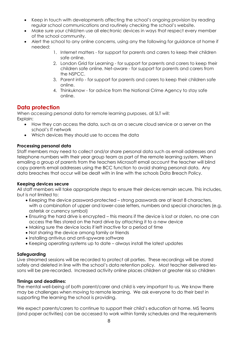- Keep in touch with developments affecting the school's ongoing provision by reading regular school communications and routinely checking the school's website.
- Make sure your child/ren use all electronic devices in ways that respect every member of the school community.
- Alert the school to any online concerns, using any the following for guidance at home if needed:
	- 1. Internet matters for support for parents and carers to keep their children safe online.
	- 2. London Grid for Learning for support for parents and carers to keep their children safe online. Net-aware - for support for parents and carers from the NSPCC.
	- 3. Parent info for support for parents and carers to keep their children safe online.
	- 4. Thinkuknow for advice from the National Crime Agency to stay safe online.

#### **Data protection**

When accessing personal data for remote learning purposes, all SLT will: Explain:

- How they can access the data, such as on a secure cloud service or a server on the school's IT network
- Which devices they should use to access the data

#### **Processing personal data**

Staff members may need to collect and/or share personal data such as email addresses and telephone numbers with their year group team as part of the remote learning system. When emailing a group of parents from the teachers Microsoft email account the teacher will blind copy parents email addresses using the BCC function to avoid sharing personal data. Any data breaches that occur will be dealt with in line with the schools Data Breach Policy.

#### **Keeping devices secure**

All staff members will take appropriate steps to ensure their devices remain secure. This includes, but is not limited to:

- Keeping the device password-protected strong passwords are at least 8 characters, with a combination of upper and lower-case letters, numbers and special characters (e.g. asterisk or currency symbol)
- Ensuring the hard drive is encrypted this means if the device is lost or stolen, no one can access the files stored on the hard drive by attaching it to a new device
- Making sure the device locks if left inactive for a period of time
- Not sharing the device among family or friends
- Installing antivirus and anti-spyware software
- Keeping operating systems up to date always install the latest updates

#### **Safeguarding**

Live streamed sessions will be recorded to protect all parties. These recordings will be stored safely and deleted in line with the school's data retention policy. Most teacher delivered lessons will be pre-recorded.Increased activity online places children at greater risk so children

#### **Timings and deadlines:**

The mental well-being of both parent/carer and child is very important to us. We know there may be challenges when moving to remote learning. We ask everyone to do their best in supporting the learning the school is providing.

We expect parents/carers to continue to support their child's education at home. MS Teams (and paper activities) can be accessed to work within family schedules and the requirements